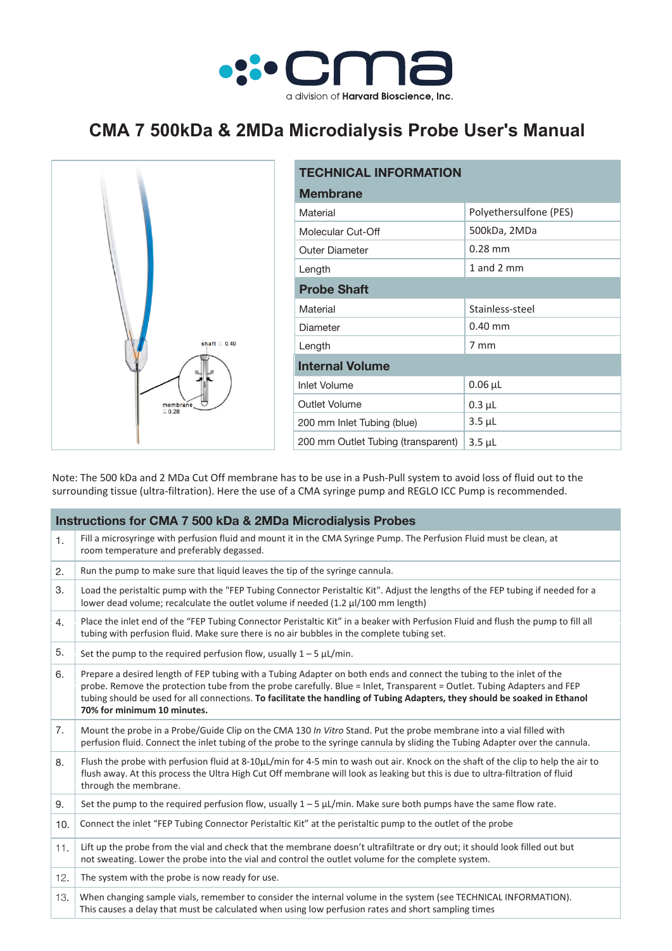

## **CMA 7 500kDa & 2MDa Microdialysis Probe User's Manual**



| <b>TECHNICAL INFORMATION</b>       |                        |  |  |  |
|------------------------------------|------------------------|--|--|--|
| <b>Membrane</b>                    |                        |  |  |  |
| Material                           | Polyethersulfone (PES) |  |  |  |
| Molecular Cut-Off                  | 500kDa, 2MDa           |  |  |  |
| <b>Outer Diameter</b>              | $0.28$ mm              |  |  |  |
| Length                             | 1 and 2 $mm$           |  |  |  |
| <b>Probe Shaft</b>                 |                        |  |  |  |
| Material                           | Stainless-steel        |  |  |  |
| Diameter                           | $0.40$ mm              |  |  |  |
| Length                             | $7 \text{ mm}$         |  |  |  |
| <b>Internal Volume</b>             |                        |  |  |  |
| <b>Inlet Volume</b>                | $0.06 \mu L$           |  |  |  |
| Outlet Volume                      | $0.3 \mu L$            |  |  |  |
| 200 mm Inlet Tubing (blue)         | $3.5 \mu L$            |  |  |  |
| 200 mm Outlet Tubing (transparent) | $3.5 \mu L$            |  |  |  |

Note: The 500 kDa and 2 MDa Cut Off membrane has to be use in a Push-Pull system to avoid loss of fluid out to the surrounding tissue (ultra-filtration). Here the use of a CMA syringe pump and REGLO ICC Pump is recommended.

| <b>Instructions for CMA 7 500 kDa &amp; 2MDa Microdialysis Probes</b> |                                                                                                                                                                                                                                                                                                                                                                                                              |  |  |  |
|-----------------------------------------------------------------------|--------------------------------------------------------------------------------------------------------------------------------------------------------------------------------------------------------------------------------------------------------------------------------------------------------------------------------------------------------------------------------------------------------------|--|--|--|
| 1.                                                                    | Fill a microsyringe with perfusion fluid and mount it in the CMA Syringe Pump. The Perfusion Fluid must be clean, at<br>room temperature and preferably degassed.                                                                                                                                                                                                                                            |  |  |  |
| 2.                                                                    | Run the pump to make sure that liquid leaves the tip of the syringe cannula.                                                                                                                                                                                                                                                                                                                                 |  |  |  |
| 3.                                                                    | Load the peristaltic pump with the "FEP Tubing Connector Peristaltic Kit". Adjust the lengths of the FEP tubing if needed for a<br>lower dead volume; recalculate the outlet volume if needed (1.2 µl/100 mm length)                                                                                                                                                                                         |  |  |  |
| 4.                                                                    | Place the inlet end of the "FEP Tubing Connector Peristaltic Kit" in a beaker with Perfusion Fluid and flush the pump to fill all<br>tubing with perfusion fluid. Make sure there is no air bubbles in the complete tubing set.                                                                                                                                                                              |  |  |  |
| 5.                                                                    | Set the pump to the required perfusion flow, usually $1 - 5 \mu L/min$ .                                                                                                                                                                                                                                                                                                                                     |  |  |  |
| 6.                                                                    | Prepare a desired length of FEP tubing with a Tubing Adapter on both ends and connect the tubing to the inlet of the<br>probe. Remove the protection tube from the probe carefully. Blue = Inlet, Transparent = Outlet. Tubing Adapters and FEP<br>tubing should be used for all connections. To facilitate the handling of Tubing Adapters, they should be soaked in Ethanol<br>70% for minimum 10 minutes. |  |  |  |
| 7.                                                                    | Mount the probe in a Probe/Guide Clip on the CMA 130 In Vitro Stand. Put the probe membrane into a vial filled with<br>perfusion fluid. Connect the inlet tubing of the probe to the syringe cannula by sliding the Tubing Adapter over the cannula.                                                                                                                                                         |  |  |  |
| 8.                                                                    | Flush the probe with perfusion fluid at 8-10µL/min for 4-5 min to wash out air. Knock on the shaft of the clip to help the air to<br>flush away. At this process the Ultra High Cut Off membrane will look as leaking but this is due to ultra-filtration of fluid<br>through the membrane.                                                                                                                  |  |  |  |
| 9.                                                                    | Set the pump to the required perfusion flow, usually $1 - 5$ $\mu$ L/min. Make sure both pumps have the same flow rate.                                                                                                                                                                                                                                                                                      |  |  |  |
| 10.                                                                   | Connect the inlet "FEP Tubing Connector Peristaltic Kit" at the peristaltic pump to the outlet of the probe                                                                                                                                                                                                                                                                                                  |  |  |  |
| 11.                                                                   | Lift up the probe from the vial and check that the membrane doesn't ultrafiltrate or dry out; it should look filled out but<br>not sweating. Lower the probe into the vial and control the outlet volume for the complete system.                                                                                                                                                                            |  |  |  |
| 12.                                                                   | The system with the probe is now ready for use.                                                                                                                                                                                                                                                                                                                                                              |  |  |  |
| 13.                                                                   | When changing sample vials, remember to consider the internal volume in the system (see TECHNICAL INFORMATION).<br>This causes a delay that must be calculated when using low perfusion rates and short sampling times                                                                                                                                                                                       |  |  |  |